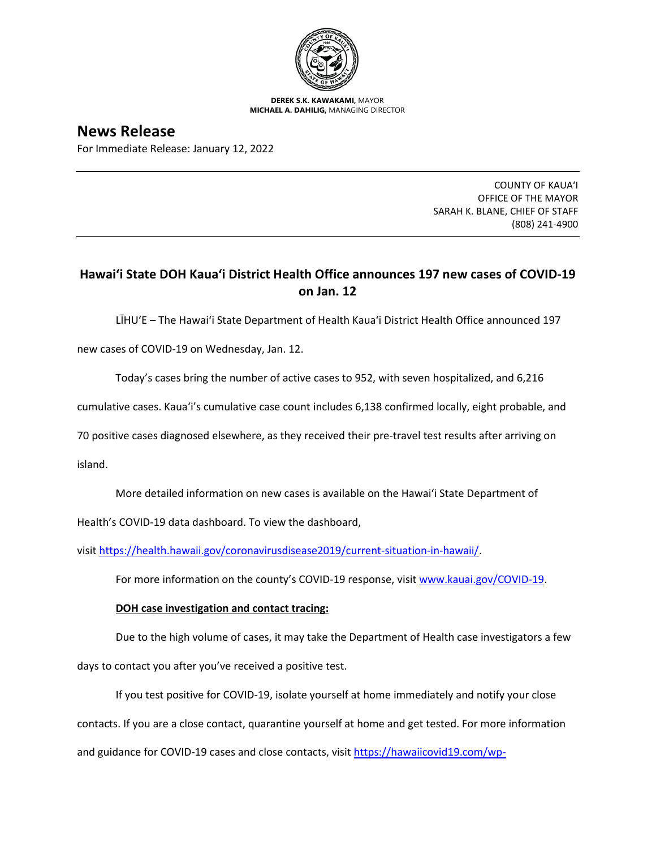

**DEREK S.K. KAWAKAMI,** MAYOR **MICHAEL A. DAHILIG,** MANAGING DIRECTOR

## **News Release**

For Immediate Release: January 12, 2022

COUNTY OF KAUA'I OFFICE OF THE MAYOR SARAH K. BLANE, CHIEF OF STAFF (808) 241-4900

## **Hawai'i State DOH Kaua'i District Health Office announces 197 new cases of COVID-19 on Jan. 12**

LĪHU'E – The Hawai'i State Department of Health Kaua'i District Health Office announced 197

new cases of COVID-19 on Wednesday, Jan. 12.

Today's cases bring the number of active cases to 952, with seven hospitalized, and 6,216

cumulative cases. Kaua'i's cumulative case count includes 6,138 confirmed locally, eight probable, and

70 positive cases diagnosed elsewhere, as they received their pre-travel test results after arriving on

island.

More detailed information on new cases is available on the Hawai'i State Department of

Health's COVID-19 data dashboard. To view the dashboard,

visit [https://health.hawaii.gov/coronavirusdisease2019/current-situation-in-hawaii/.](https://health.hawaii.gov/coronavirusdisease2019/current-situation-in-hawaii/)

For more information on the county's COVID-19 response, visit [www.kauai.gov/COVID-19.](https://urldefense.com/v3/__http:/www.kauai.gov/COVID-19__;!!LIYSdFfckKA!l4A5nHuw73q2ubt1jVfVpBxrgAoeT-qm9LHA2X0eDo7DmU1d8EztTez1J2SRjWo05uCKvMiUtA$)

## **DOH case investigation and contact tracing:**

Due to the high volume of cases, it may take the Department of Health case investigators a few days to contact you after you've received a positive test.

If you test positive for COVID-19, isolate yourself at home immediately and notify your close contacts. If you are a close contact, quarantine yourself at home and get tested. For more information and guidance for COVID-19 cases and close contacts, visit [https://hawaiicovid19.com/wp-](https://hawaiicovid19.com/wp-content/uploads/2020/11/Summary-Guidance-for-COVID-19-Cases-and-Contacts.pdf)